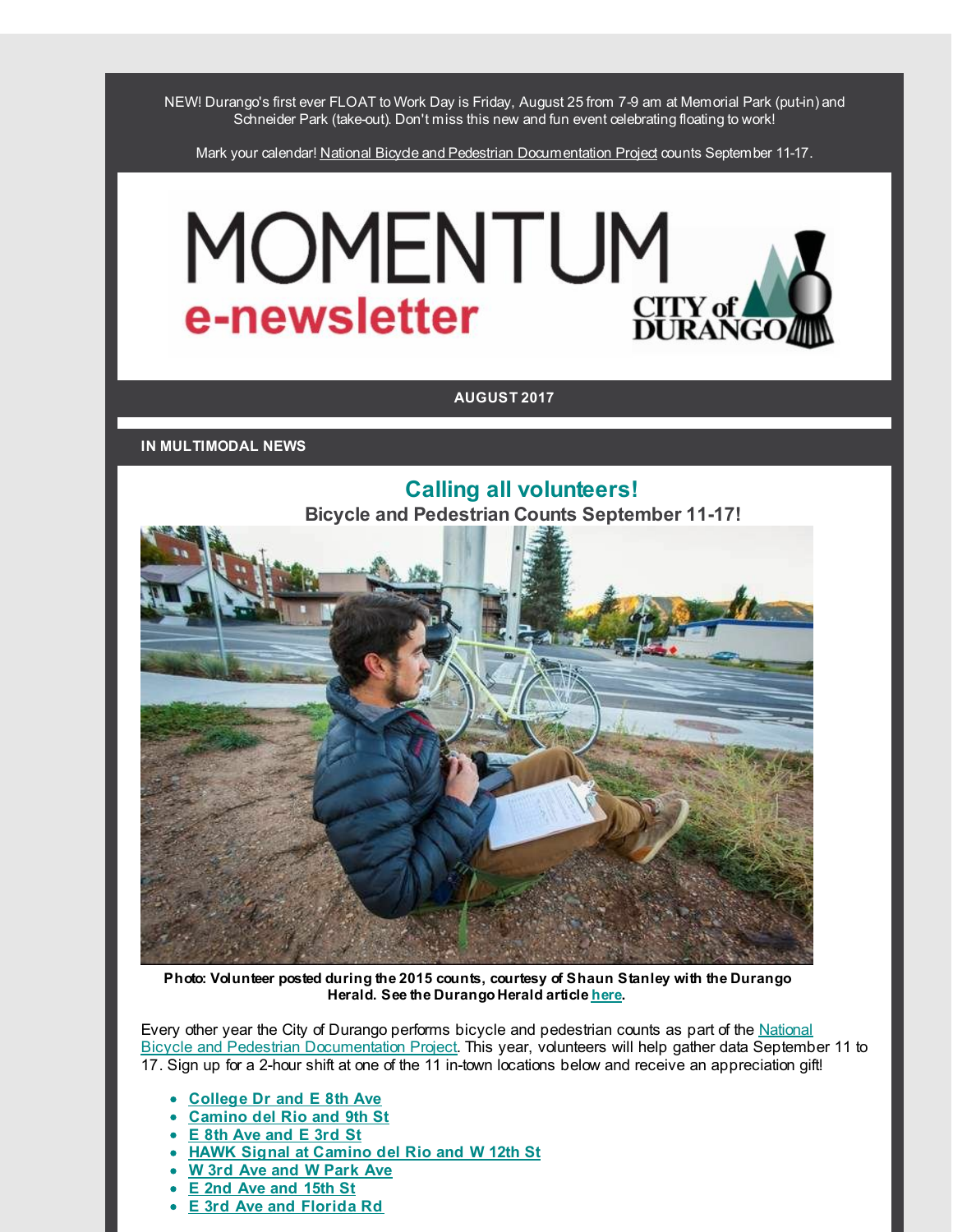NEW! Durango's first ever FLOAT to Work Day is Friday, August 25 from 7-9 am at Memorial Park (put-in) and Schneider Park (take-out). Don't miss this new and fun event celebrating floating to work!

Mark your calendar! National Bicycle and Pedestrian [Documentation](http://r20.rs6.net/tn.jsp?f=001ikjyCpTtk0KxFp7hbguwjjI6dJJY_vx9jaxlnWk_19EdjHugFv0WZLhm1LEzsh-_X1QK8Ozdzok9qOskiH9Vlar4rXWskL0isfhi1DFlgRO-PIZHzT8cpv_2ps3lfBEDlf_A7watoiwTbVCK6Xl8f8e368C73YQG54grkyL8TItWDx6u8oA3lQ==&c=&ch=) Project counts September 11-17.

# MOMENTUM CITY of e-newsletter

### **AUGUST 2017**

**IN MULTIMODAL NEWS**



**Photo: Volunteer posted during the 2015 counts, courtesy of Shaun Stanley with the Durango Herald. See the Durango Herald article [here](http://r20.rs6.net/tn.jsp?f=001ikjyCpTtk0KxFp7hbguwjjI6dJJY_vx9jaxlnWk_19EdjHugFv0WZHcLoih4KpXCXn37Lftloxg1oQfXznbFb0A115lgUBJXYKVgTSJRC3dgE636oBukj7tNWd64rSmMuUsaitsl1FFB2QTJ8A79etvsG-7WphE5V88gwNvNw2hmEbCgnsxGOVmxIHVHoOcgMefUCDmT7_IfJf-4boRrF9LHpiYqWCwUyJwG7PAn808=&c=&ch=).**

Every other year the City of Durango performs bicycle and pedestrian counts as part of the National Bicycle and Pedestrian [Documentation](http://r20.rs6.net/tn.jsp?f=001ikjyCpTtk0KxFp7hbguwjjI6dJJY_vx9jaxlnWk_19EdjHugFv0WZLhm1LEzsh-_X1QK8Ozdzok9qOskiH9Vlar4rXWskL0isfhi1DFlgRO-PIZHzT8cpv_2ps3lfBEDlf_A7watoiwTbVCK6Xl8f8e368C73YQG54grkyL8TItWDx6u8oA3lQ==&c=&ch=) Project. This year, volunteers will help gather data September 11 to 17. Sign up for a 2-hour shift at one of the 11 in-town locations below and receive an appreciation gift!

- **[College](http://r20.rs6.net/tn.jsp?f=001ikjyCpTtk0KxFp7hbguwjjI6dJJY_vx9jaxlnWk_19EdjHugFv0WZNDsopSPenSa3ZJuTRLlEs7qWLHoCb3-ICXywiz3NgK-Sg3a8Klw4yOqzioed9bLiazUcpOcFW7DpZ6nj0TOi863G-gYWvf8Jf975FKck_-7rWnR9ZUK2HlcNFb8pjTRXw==&c=&ch=) Dr and E 8th Ave**
- **[Camino](http://r20.rs6.net/tn.jsp?f=001ikjyCpTtk0KxFp7hbguwjjI6dJJY_vx9jaxlnWk_19EdjHugFv0WZNDsopSPenSa4T3R_ddLPAlQkOXThv5as45ZC5fMe7Zbevb19eOB6cmf1dm7worinEnMS2l5PSAa_9LRnyYmivuyzW0Irnj4N1oT2ZFyVslV1HYcD2NGyO6Tttw3ON0DTw==&c=&ch=) del Rio and 9th St**
- **E 8th [Ave](http://r20.rs6.net/tn.jsp?f=001ikjyCpTtk0KxFp7hbguwjjI6dJJY_vx9jaxlnWk_19EdjHugFv0WZNDsopSPenSa0OMmdR_fbnJOOv9edV-NZkP16ikyMYJDyEKmlOcjPd5q7NyKohnliCSkud8sfpeNPDzBzyFSkDT7rBUg2cWfmOPpSMFwJS94667ldcIHa7F8T_N8UgM7KQ==&c=&ch=) and E 3rd St**
- **HAWK Signal at [Camino](http://r20.rs6.net/tn.jsp?f=001ikjyCpTtk0KxFp7hbguwjjI6dJJY_vx9jaxlnWk_19EdjHugFv0WZNDsopSPenSawfspxVKdaIyFGAjLc8XQN2m9F0fGIOtlwGIqKBHyHqKrvHrLAiILYU098ShpBaEO4huuvl3cmTnB05O1UfjHRnq8MRkBJJZ_Ij2Xk0aOW3vltPeB8M2gPw==&c=&ch=) del Rio and W 12th St**
- **W 3rd Ave and W [Park](http://r20.rs6.net/tn.jsp?f=001ikjyCpTtk0KxFp7hbguwjjI6dJJY_vx9jaxlnWk_19EdjHugFv0WZNDsopSPenSaWeeTpPBccU1TYhHcDDsrm1xNyJfisDN0aUQYCnOzBfQfFUNiiMOdBBFm-qOiDweGKsacHbF68fMhVSwfJUTF87WGt7e1orvhwgRQPe5fURY8YQzaEjbd-w==&c=&ch=) Ave**
- **E 2nd Ave and [15th](http://r20.rs6.net/tn.jsp?f=001ikjyCpTtk0KxFp7hbguwjjI6dJJY_vx9jaxlnWk_19EdjHugFv0WZNDsopSPenSab8PYV-48DdZ2L2LMVsb7gB9sUFvIu4IMHD2wA_6GLzeOOXu5-f_OTE3hUAZ65OCxeHOCFr9dKm_oDX2-yDNYha4qr2ahOA1TIZob1EkKZigKp5VlOIUDUQ==&c=&ch=) St**
- **E 3rd Ave and [Florida](http://r20.rs6.net/tn.jsp?f=001ikjyCpTtk0KxFp7hbguwjjI6dJJY_vx9jaxlnWk_19EdjHugFv0WZNDsopSPenSaSOgptwWcBr6YLNTyJyVRPPzbSWjGiORG3M2XjYfKndmC8GnvPZ_s7tG2PLLKokTQlDlP5luN9WTK1kJHjLT_fwfuVKXGM48bWg_Fe4Z2hOAfbz-BBjbltg==&c=&ch=) Rd**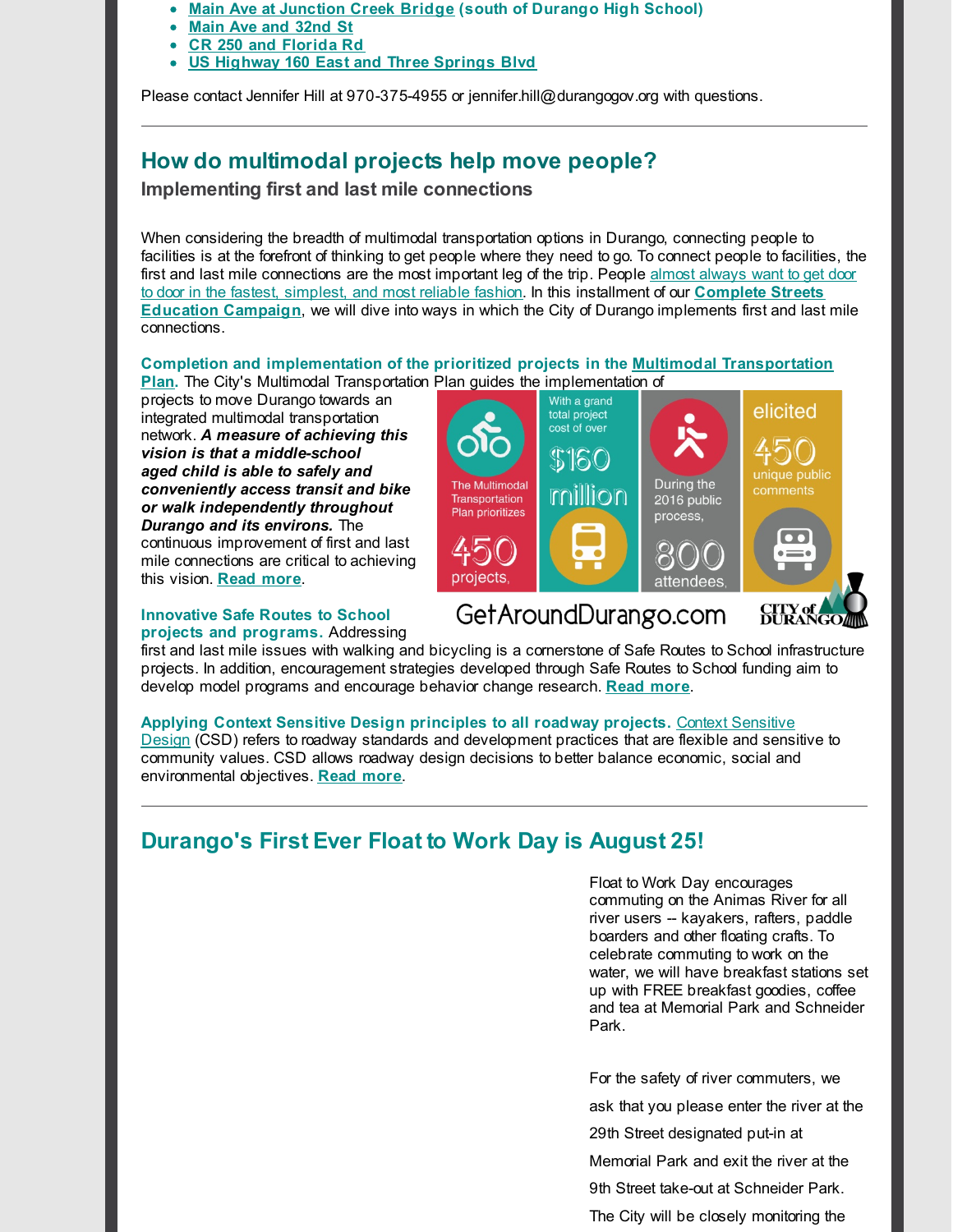- **Main Ave at [Junction](http://r20.rs6.net/tn.jsp?f=001ikjyCpTtk0KxFp7hbguwjjI6dJJY_vx9jaxlnWk_19EdjHugFv0WZNDsopSPenSa_VxzwgElN2XrFSu-lxsXdVOT9dM1LH5xwKH_qk7Qx2WA5vCkN0Qy7f1bctkixi0ySwIWdbGVAm74hKLAfG4p_Q8ibayx0lqBPA9mZBoiOUhiDkMpeus1jw==&c=&ch=) Creek Bridge (south of Durango High School)**  $\bullet$
- **Main Ave and [32nd](http://r20.rs6.net/tn.jsp?f=001ikjyCpTtk0KxFp7hbguwjjI6dJJY_vx9jaxlnWk_19EdjHugFv0WZNDsopSPenSaIsMh1jnOvgau0TrSKVLkDf1bsQEWSedPakcISlf6G8p6jEp501YxRsDeT1QR2OyPmXYWshEqPRqspmikwIOUR6dBV-AUmFKjCrmcXQiWZcxAYc2kaJVKgQ==&c=&ch=) St**
- **CR 250 and [Florida](http://r20.rs6.net/tn.jsp?f=001ikjyCpTtk0KxFp7hbguwjjI6dJJY_vx9jaxlnWk_19EdjHugFv0WZNDsopSPenSa9W5hM_ju-MMGaXA1oYeQ-FlmlwBUi3ojtXxDl2DJRZo-wOT-BtG08qAgP-DvCZIpajJQocRo1PBz07hG21AZHSarDPC3JrlDg54Y2hpcAjP5MSwvZiu9yQ==&c=&ch=) Rd**
- **US [Highway](http://r20.rs6.net/tn.jsp?f=001ikjyCpTtk0KxFp7hbguwjjI6dJJY_vx9jaxlnWk_19EdjHugFv0WZNDsopSPenSaojV6I1UmT9CXg0ddd2KhLBBmM1V0xlSEIyyWd18wdT3G1hZap4xCILuXB6UWf2wHSqBDvkMfEH13OZezA6tKU1e3dFeCQ0DFIpTtnfXzdTO2LzWdI7n-fw==&c=&ch=) 160 East and Three Springs Blvd**

Please contact Jennifer Hill at 970-375-4955 or jennifer.hill@durangogov.org with questions.

# **How do multimodal projects help move people?**

### **Implementing first and last mile connections**

When considering the breadth of multimodal transportation options in Durango, connecting people to facilities is at the forefront of thinking to get people where they need to go. To connect people to facilities, the first and last mile [connections](http://r20.rs6.net/tn.jsp?f=001ikjyCpTtk0KxFp7hbguwjjI6dJJY_vx9jaxlnWk_19EdjHugFv0WZPbR4P_S6yPEYBaxX_LtaxJftTRf2teSHth_OuZoCWaH5HE6-udnDsY-OpyPxhNQPTJ0BVlrQKvq1C3F6mvez0ns-jnaotpwBXwfLOX-0T4_CHuxq_KLvBWciZ5vC1H7NYOu5NYBA4lJxXyNIFyw0hEIkSSL-HuRmrismS_aIwrnMx0OUIm0Q50grHDA2U_7nBuz4d1HQXyBav63bhkGMbQcdKVH5irgk_0Fx_bjaDCVoV5FsTfSNNk=&c=&ch=) are the most important leg of the trip. People almost always want to get door to door in the fastest, simplest, and most reliable fashion. In this installment of our **Complete Streets Education Campaign**, we will dive into ways in which the City of Durango [implements](http://r20.rs6.net/tn.jsp?f=001ikjyCpTtk0KxFp7hbguwjjI6dJJY_vx9jaxlnWk_19EdjHugFv0WZCMfK1YQH46LAhZGX243_H-oUKldJX_5xbO4fsPsOSP_ozrbH2WxFCn3GUuAyGJ41202CBXFnXDcBPizh3yuH2A1g1KWCd9cdwNeLuVlbVy5fctAK4l0uci_Ks8z50cNpY2rvcr6V6eV&c=&ch=) first and last mile connections.

**Completion and [implementation](http://r20.rs6.net/tn.jsp?f=001ikjyCpTtk0KxFp7hbguwjjI6dJJY_vx9jaxlnWk_19EdjHugFv0WZFYCRxnOSY2HoTe1PtryZPUkM3tuOg2B4bknSmt6ZEXuj6nB4gBABaUtzzBgFYE4i4Dl9QDWt9PKsI-_UlL6glDrjvIy9efk8UbBykLl6i96VQbbVhJdAYTO0n2AIJhSJT0UwPfXvIk6okdz_ZqGfw4=&c=&ch=) of the prioritized projects in the Multimodal Transportation Plan.** The City's Multimodal Transportation Plan guides the implementation of

projects to move Durango towards an integrated multimodal transportation network. *A measure of achieving this vision is that a middle-school aged child is able to safely and conveniently access transit and bike or walk independently throughout Durango and its environs.* The continuous improvement of first and last mile connections are critical to achieving this vision. **Read [more](http://r20.rs6.net/tn.jsp?f=001ikjyCpTtk0KxFp7hbguwjjI6dJJY_vx9jaxlnWk_19EdjHugFv0WZFYCRxnOSY2HoTe1PtryZPUkM3tuOg2B4bknSmt6ZEXuj6nB4gBABaUtzzBgFYE4i4Dl9QDWt9PKsI-_UlL6glDrjvIy9efk8UbBykLl6i96VQbbVhJdAYTO0n2AIJhSJT0UwPfXvIk6okdz_ZqGfw4=&c=&ch=)**.

### **Innovative Safe Routes to School projects and programs.** Addressing



first and last mile issues with walking and bicycling is a cornerstone of Safe Routes to School infrastructure projects. In addition, encouragement strategies developed through Safe Routes to School funding aim to develop model programs and encourage behavior change research. **Read [more](http://r20.rs6.net/tn.jsp?f=001ikjyCpTtk0KxFp7hbguwjjI6dJJY_vx9jaxlnWk_19EdjHugFv0WZPbR4P_S6yPEXPxZDPRI5v19jRsuQ7D0tIAdZAM8KXMjFsfB6X6UkGIQB5RnYL-5WLrOOJc-rUKKooJy5xby0iyyi0Rkl_VplTD9mn3Y2gDQGNLEm8p6NkktCQnVrZu50Bp4e7OOKNCJg-_dvrEIYL8=&c=&ch=)**.

### **Applying Context Sensitive Design principles to all roadway projects.** Context Sensitive

Design (CSD) refers to roadway standards and [development](http://r20.rs6.net/tn.jsp?f=001ikjyCpTtk0KxFp7hbguwjjI6dJJY_vx9jaxlnWk_19EdjHugFv0WZPbR4P_S6yPEvB-nskYX3EGDArhRddweVtkKCDTt5YM6VunxC6qld146gVn5jxnkNXDbLAB1e1yE62qBWNPF0GAhIjuuapOc6kLWGrqaQYgMqJzvrS0fTgMJzjBXuEuWHoumvhiLxiLPeAX0GqM9W50=&c=&ch=) practices that are flexible and sensitive to community values. CSD allows roadway design decisions to better balance economic, social and environmental objectives. **[Read](http://r20.rs6.net/tn.jsp?f=001ikjyCpTtk0KxFp7hbguwjjI6dJJY_vx9jaxlnWk_19EdjHugFv0WZPbR4P_S6yPEvB-nskYX3EGDArhRddweVtkKCDTt5YM6VunxC6qld146gVn5jxnkNXDbLAB1e1yE62qBWNPF0GAhIjuuapOc6kLWGrqaQYgMqJzvrS0fTgMJzjBXuEuWHoumvhiLxiLPeAX0GqM9W50=&c=&ch=) more**.

# **Durango's First Ever Float to Work Day is August 25!**

Float to Work Day encourages commuting on the Animas River for all river users -- kayakers, rafters, paddle boarders and other floating crafts. To celebrate commuting to work on the water, we will have breakfast stations set up with FREE breakfast goodies, coffee and tea at Memorial Park and Schneider Park.

For the safety of river commuters, we

ask that you please enter the river at the

29th Street designated put-in at

Memorial Park and exit the river at the

9th Street take-out at Schneider Park.

The City will be closely monitoring the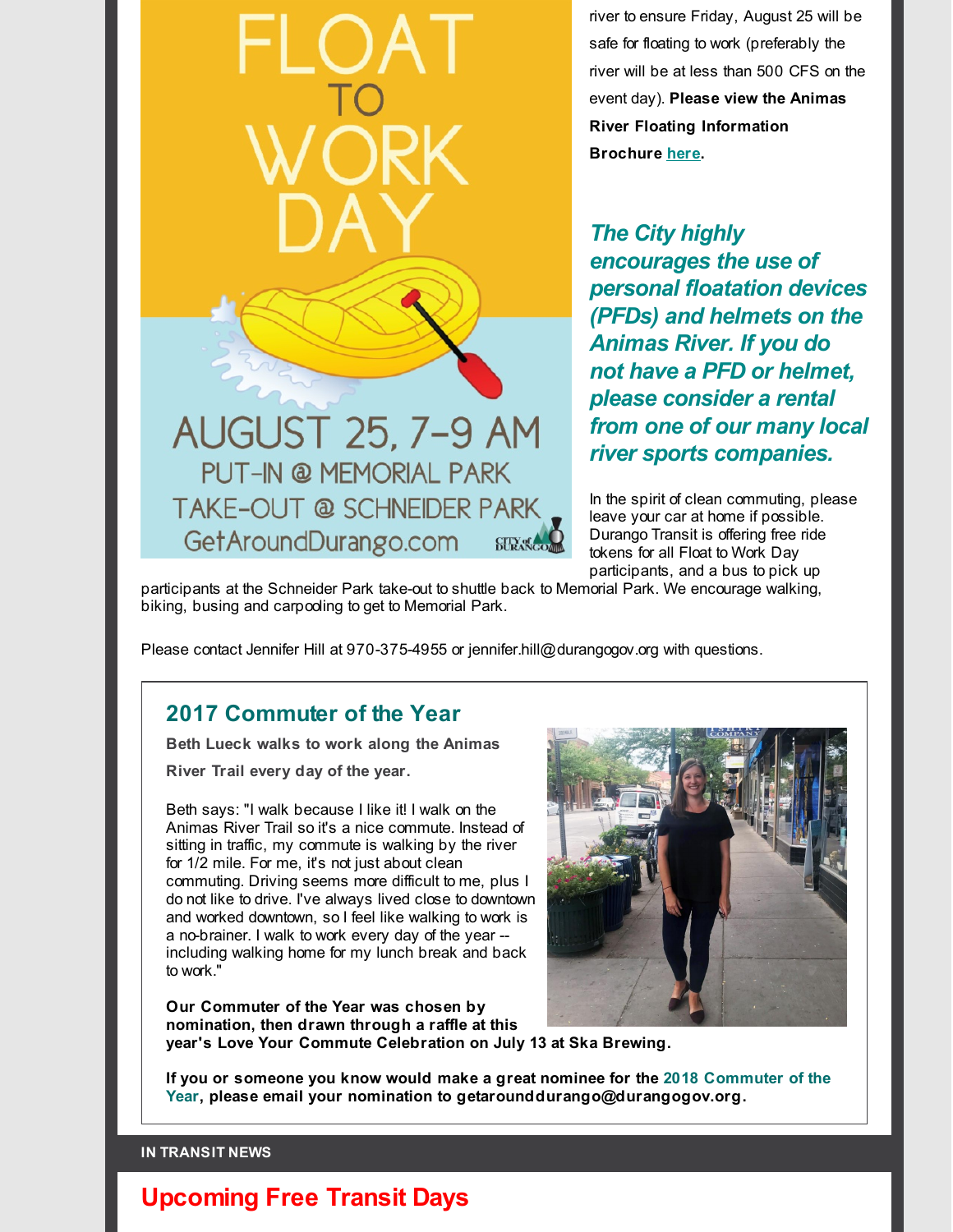river to ensure Friday, August 25 will be safe for floating to work (preferably the river will be at less than 500 CFS on the event day). **Please view the Animas River Floating Information Brochure [here](http://r20.rs6.net/tn.jsp?f=001ikjyCpTtk0KxFp7hbguwjjI6dJJY_vx9jaxlnWk_19EdjHugFv0WZNDsopSPenSaCRP0Q9mRX-3EbgFj35u9SX_AriyoZrUbD1sxh0zKZwAQ3YhSVakeVetdL5nuC5rDMM1P39wR6UQc79A22tl9r4WTejyG6U5RPJqjzMmwibaExQNqfPiKub9QrBjU50Nsmg-x1A2gOkc=&c=&ch=).**

*The City highly encourages the use of personal floatation devices (PFDs) and helmets on the Animas River. If you do not have a PFD or helmet, please consider a rental from one of our many local river sports companies.*

In the spirit of clean commuting, please leave your car at home if possible. Durango Transit is offering free ride tokens for all Float to Work Day participants, and a bus to pick up

participants at the Schneider Park take-out to shuttle back to Memorial Park. We encourage walking, biking, busing and carpooling to get to Memorial Park.

**CITY of** 

Please contact Jennifer Hill at 970-375-4955 or jennifer.hill@durangogov.org with questions.

### **2017 Commuter of the Year**

**Beth Lueck walks to work along the Animas**

**River Trail every day of the year.**

Beth says: "I walk because I like it! I walk on the Animas River Trail so it's a nice commute. Instead of sitting in traffic, my commute is walking by the river for 1/2 mile. For me, it's not just about clean commuting. Driving seems more difficult to me, plus I do not like to drive. I've always lived close to downtown and worked downtown, so I feel like walking to work is a no-brainer. I walk to work every day of the year - including walking home for my lunch break and back to work."

**Our Commuter of the Year was chosen by nomination, then drawn through a raffle at this year's Love Your Commute Celebration on July 13 at Ska Brewing.**

**If you or someone you know would make a great nominee for the 2018 Commuter of the Year, please email your nomination to getarounddurango@durangogov.org.**

### **IN TRANSIT NEWS**

# **Upcoming Free Transit Days**



AUGUST 25, 7-9 AM **PUT-IN @ MEMORIAL PARK TAKE-OUT @ SCHNEIDER PARK** GetAroundDurango.com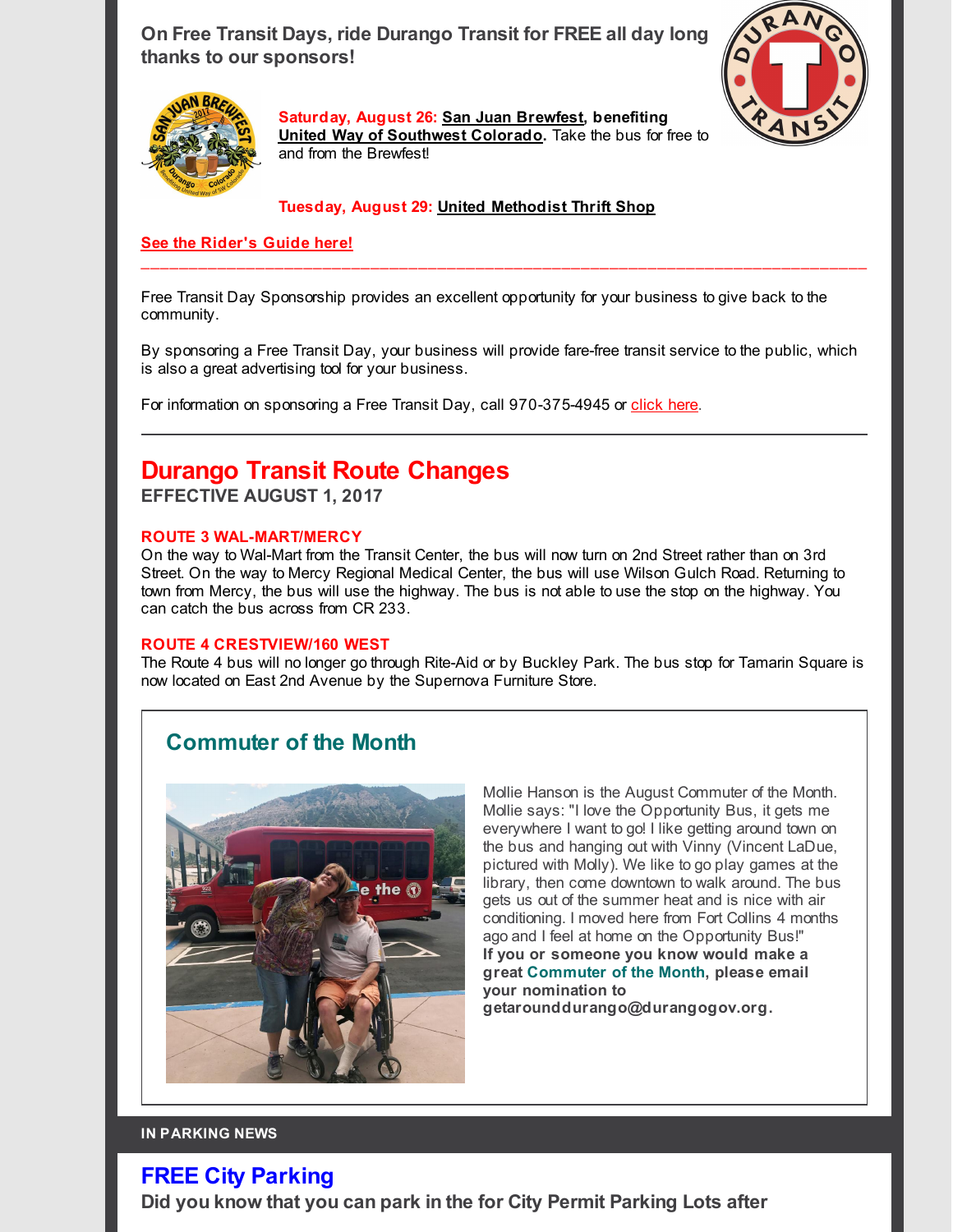**On Free Transit Days, ride Durango Transit for FREE all day long thanks to our sponsors!**





**Saturday, August 26: San Juan [Brewfest](http://r20.rs6.net/tn.jsp?f=001ikjyCpTtk0KxFp7hbguwjjI6dJJY_vx9jaxlnWk_19EdjHugFv0WZPbR4P_S6yPE6d0mPEigy6RF_xcRVyLMU9S5CS1SFNgKMmnJFZNid0IOO7HV0oGiOwXSxpqKrf1kCf3l-Y_gnC1E1RFPGiUsWVZ5C_uIRaAqUSKuJWuFswtb4lMec5wpBg==&c=&ch=), benefiting [United](http://r20.rs6.net/tn.jsp?f=001ikjyCpTtk0KxFp7hbguwjjI6dJJY_vx9jaxlnWk_19EdjHugFv0WZPbR4P_S6yPEIUKpmKZPyX3r1twWZd45F_FWocvyvvwgE1VQPe08Bdi6vrbLYgzCeh8ai6PCmuFsHpJK6mbEpO2jW4fqsfSPffXDoE3T2XS74LgxTh_LRX75_85CRVyY9w==&c=&ch=) Way of Southwest [Colorado](http://r20.rs6.net/tn.jsp?f=001ikjyCpTtk0KxFp7hbguwjjI6dJJY_vx9jaxlnWk_19EdjHugFv0WZPbR4P_S6yPEIUKpmKZPyX3r1twWZd45F_FWocvyvvwgE1VQPe08Bdi6vrbLYgzCeh8ai6PCmuFsHpJK6mbEpO2jW4fqsfSPffXDoE3T2XS74LgxTh_LRX75_85CRVyY9w==&c=&ch=).** Take the bus for free to and from the Brewfest!

### **Tuesday, August 29: United [Methodist](http://r20.rs6.net/tn.jsp?f=001ikjyCpTtk0KxFp7hbguwjjI6dJJY_vx9jaxlnWk_19EdjHugFv0WZKgtHsBQgnyOIPpsPcHoiiitZoXVChd3FAYNx0OFHGi0T2W1dotwk8D_lAfTDpNROhzH_vjgJBD7s9iMFs3n-webXz0owp4yvHCBFjTNAtY7ZG5TR4_gywXRpL6oIv_VGwEmkcmGRwLYhaBmEhCSlyQFEz3ZRmBIyX_5WQmuJrc1jakwpLGggrY=&c=&ch=) Thrift Shop**

### **See the [Rider's](http://r20.rs6.net/tn.jsp?f=001ikjyCpTtk0KxFp7hbguwjjI6dJJY_vx9jaxlnWk_19EdjHugFv0WZC3Fo-8DsxuuUXytNNRACdpc1JYecCyNjfSSfahZe4FKaQQhYQ24GRK6QViqJlOBG2lUwr38qf-L6q4I8B7EYkc2WNr9blzePcK2QUzWx6qnCkvfJvKanReXwiHSJTUqInEujU_HSKSuj9zd2UYxoAj53M5feBDfTPAEwiJC0vlDElvzuqH_WVz73zOM1wDVd67T-E4FFMGc&c=&ch=) Guide here!**

Free Transit Day Sponsorship provides an excellent opportunity for your business to give back to the community.

By sponsoring a Free Transit Day, your business will provide fare-free transit service to the public, which is also a great advertising tool for your business.

 $\_$  ,  $\_$  ,  $\_$  ,  $\_$  ,  $\_$  ,  $\_$  ,  $\_$  ,  $\_$  ,  $\_$  ,  $\_$  ,  $\_$  ,  $\_$  ,  $\_$  ,  $\_$  ,  $\_$  ,  $\_$  ,  $\_$  ,  $\_$  ,  $\_$  ,  $\_$  ,  $\_$  ,  $\_$  ,  $\_$  ,  $\_$  ,  $\_$  ,  $\_$  ,  $\_$  ,  $\_$  ,  $\_$  ,  $\_$  ,  $\_$  ,  $\_$  ,  $\_$  ,  $\_$  ,  $\_$  ,  $\_$  ,  $\_$  ,

For information on sponsoring a Free Transit Day, call 970-375-4945 or [click](http://r20.rs6.net/tn.jsp?f=001ikjyCpTtk0KxFp7hbguwjjI6dJJY_vx9jaxlnWk_19EdjHugFv0WZGhq3L0Jg-4UT12zlfgp1TA4DSsZL24-aiHp2gE0-P_8SeIUdDq59YewFlgenOZD8LdSdfOvlG1lntlavlKJhTZsI0hvaGapVgtPlalFQn32XMORw4Z4ZxVVBqFT89OFh4bEFzrvLueN7_OU2GPX85EClaBLHpPHEw==&c=&ch=) here.

# **Durango Transit Route Changes**

**EFFECTIVE AUGUST 1, 2017**

### **ROUTE 3 WAL-MART/MERCY**

On the way to Wal-Mart from the Transit Center, the bus will now turn on 2nd Street rather than on 3rd Street. On the way to Mercy Regional Medical Center, the bus will use Wilson Gulch Road. Returning to town from Mercy, the bus will use the highway. The bus is not able to use the stop on the highway. You can catch the bus across from CR 233.

### **ROUTE 4 CRESTVIEW/160 WEST**

The Route 4 bus will no longer go through Rite-Aid or by Buckley Park. The bus stop for Tamarin Square is now located on East 2nd Avenue by the Supernova Furniture Store.

# **Commuter of the Month**



Mollie Hanson is the August Commuter of the Month. Mollie says: "I love the Opportunity Bus, it gets me everywhere I want to go! I like getting around town on the bus and hanging out with Vinny (Vincent LaDue, pictured with Molly). We like to go play games at the library, then come downtown to walk around. The bus gets us out of the summer heat and is nice with air conditioning. I moved here from Fort Collins 4 months ago and I feel at home on the Opportunity Bus!" **If you or someone you know would make a great Commuter of the Month, please email your nomination to**

**getarounddurango@durangogov.org.**

### **IN PARKING NEWS**

### **FREE City Parking**

**Did you know that you can park in the for City Permit Parking Lots after**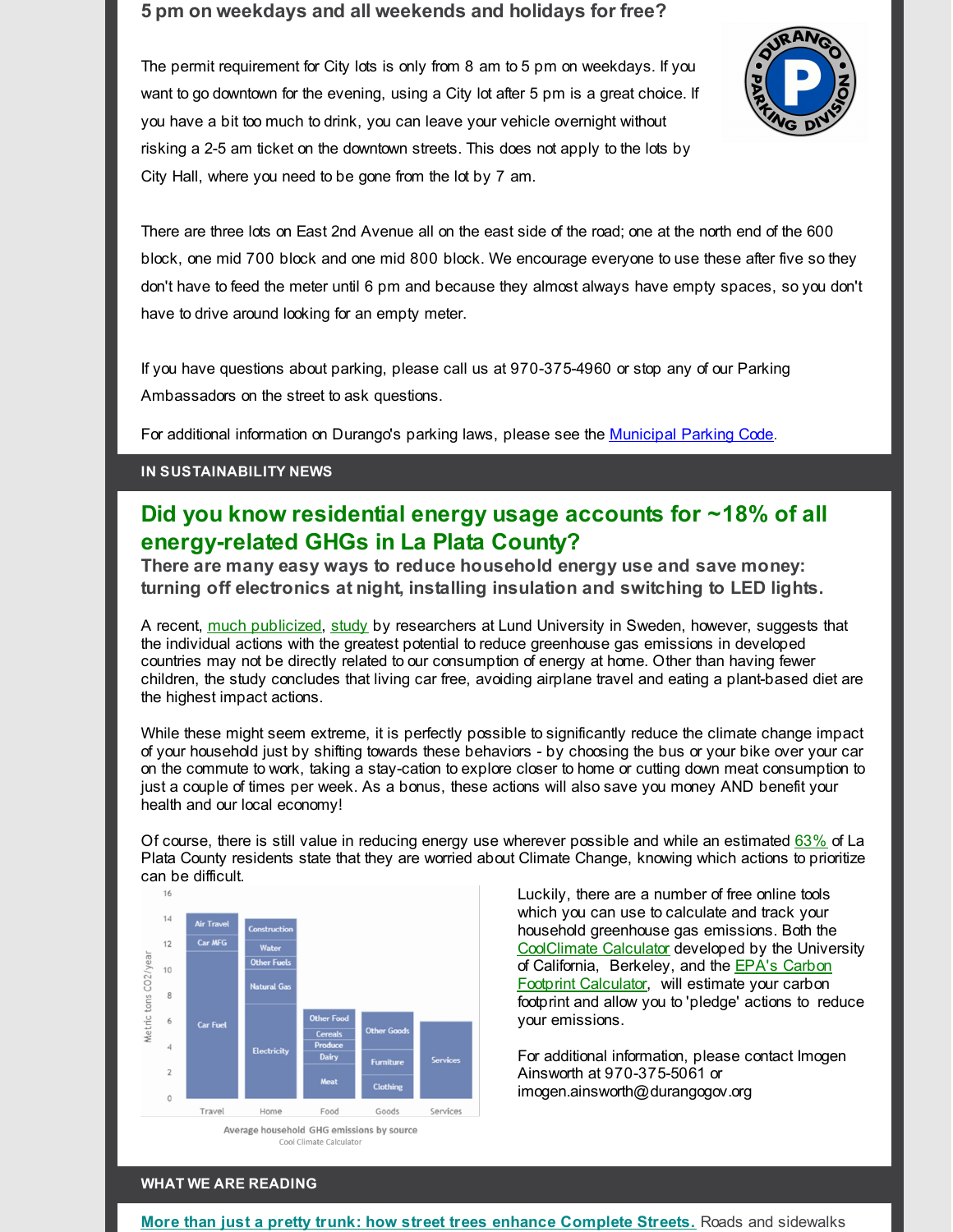### **5 pm on weekdays and all weekends and holidays for free?**



The permit requirement for City lots is only from 8 am to 5 pm on weekdays. If you want to go downtown for the evening, using a City lot after 5 pm is a great choice. If you have a bit too much to drink, you can leave your vehicle overnight without risking a 2-5 am ticket on the downtown streets. This does not apply to the lots by City Hall, where you need to be gone from the lot by 7 am.

There are three lots on East 2nd Avenue all on the east side of the road; one at the north end of the 600 block, one mid 700 block and one mid 800 block. We encourage everyone to use these after five so they don't have to feed the meter until 6 pm and because they almost always have empty spaces, so you don't have to drive around looking for an empty meter.

If you have questions about parking, please call us at 970-375-4960 or stop any of our Parking Ambassadors on the street to ask questions.

For additional information on Durango's parking laws, please see the [Municipal](http://r20.rs6.net/tn.jsp?f=001ikjyCpTtk0KxFp7hbguwjjI6dJJY_vx9jaxlnWk_19EdjHugFv0WZCRnjJgJUQZeIJ3rfHYYfguti3zO5dd02jWXU8yQ1zogAAxpVSLiMv56oswYeOaTGxmpKFRlwl0jHnIZTsnYSabmg09HynetsRRP24OE_vzwEFreBmL1HGefcDG1GW1_O0neJNSELcEbT8cuYy_1uiSh-2B79NCbDRfLLHKSmJptG8CrKkZzmEbiUoD8e9_iYUQN4Y_QPO8-jSuJkzkfdNswQjd3w_soQw0wvTaHXG5T&c=&ch=) Parking Code.

### **IN SUSTAINABILITY NEWS**

# **Did you know residential energy usage accounts for ~18% of all energy-related GHGs in La Plata County?**

**There are many easy ways to reduce household energy use and save money: turning off electronics at night, installing insulation and switching to LED lights.**

A recent, much [publicized](http://r20.rs6.net/tn.jsp?f=001ikjyCpTtk0KxFp7hbguwjjI6dJJY_vx9jaxlnWk_19EdjHugFv0WZPbR4P_S6yPErVkpLT6AiGpvfFKPdqy43swHGMTxno4vj9r9ooNO37b_3D6CaNMsUM_kdzcXJxRbd6pl6sGqnJEUSF3Finu_GtyXUdyyIPj_EV-slx659P0BNy9RhwPdia9ZzOmssFQBPJi28U0HBknZzO_m1Iyv9Xunz8r6EvWeubmc11hxsFvEOt0PBOHOH2sIAfsi5F2FMaMuvliO2KV7ITk1CtQbDq_an_hmO1jX&c=&ch=), [study](http://r20.rs6.net/tn.jsp?f=001ikjyCpTtk0KxFp7hbguwjjI6dJJY_vx9jaxlnWk_19EdjHugFv0WZPbR4P_S6yPEb0nA2pPwRSjz06GhMLtABbaLmb7jJbQSUFunpGU52oozy0PFTN_sL0FG_9xFc1DkBOpN5RLDqYlMVaNySaH6pI4uW77XhUEsRwCwzh6xowFBKlARF8o3BD0vFznKErHB2GlAHzbAqja9Ik5K94oZN0Y0P5OYiLCh2MkGseBbfOQ=&c=&ch=) by researchers at Lund University in Sweden, however, suggests that the individual actions with the greatest potential to reduce greenhouse gas emissions in developed countries may not be directly related to our consumption of energy at home. Other than having fewer children, the study concludes that living car free, avoiding airplane travel and eating a plant-based diet are the highest impact actions.

While these might seem extreme, it is perfectly possible to significantly reduce the climate change impact of your household just by shifting towards these behaviors - by choosing the bus or your bike over your car on the commute to work, taking a stay-cation to explore closer to home or cutting down meat consumption to just a couple of times per week. As a bonus, these actions will also save you money AND benefit your health and our local economy!

Of course, there is still value in reducing energy use wherever possible and while an estimated [63%](http://r20.rs6.net/tn.jsp?f=001ikjyCpTtk0KxFp7hbguwjjI6dJJY_vx9jaxlnWk_19EdjHugFv0WZPbR4P_S6yPE7lt14Dpf7U_OaLH7CQB5PwzFSkHUSnpCxTwe3nHRCH8sQ2fySj3ekVmBRvzRp5PYJwZz0DzgL_EMx0JmzMhvzH135PpvtqepbhM5bxRAwqSkjcvtN08Nwpq4s6SYvXKQIKCuPagkqt3YnKDp2hnCSOA1yd0hACT4TsCsIKSG1RvBv7cPAmUFeQ==&c=&ch=) of La Plata County residents state that they are worried about Climate Change, knowing which actions to prioritize can be difficult.



Luckily, there are a number of free online tools which you can use to calculate and track your household greenhouse gas emissions. Both the [CoolClimate](http://r20.rs6.net/tn.jsp?f=001ikjyCpTtk0KxFp7hbguwjjI6dJJY_vx9jaxlnWk_19EdjHugFv0WZPbR4P_S6yPEXS4zTev0EWRjtN2WeCtRgKCaLjqTNBPCVFvULw-5U-rWIdSij1pPVuZcklOoNdPpXCfU24g92t02KK0VyosE5hj277SAHT5gb9KH0MmZL2iThhRXCUQcQLroTmQXA7AbJF_PkgJb8OQ=&c=&ch=) Calculator developed by the University of California, Berkeley, and the **EPA's Carbon** Footprint [Calculator,](http://r20.rs6.net/tn.jsp?f=001ikjyCpTtk0KxFp7hbguwjjI6dJJY_vx9jaxlnWk_19EdjHugFv0WZPbR4P_S6yPE3pE2TQGjWvIdxtQW3KTzAKqA3IiDoPrR84I5S2IykMqKUAtQOxXwPOuP0_hCroHGjt1BdUVFdmSX_Tsd-xmhH64ev5rRV7vKSzrlWnsxr2LD49lO7w929DhDKawW03M5ut2IqxNypdN543CHlwctfQ==&c=&ch=) will estimate your carbon footprint and allow you to 'pledge' actions to reduce your emissions.

For additional information, please contact Imogen Ainsworth at 970-375-5061 or imogen.ainsworth@durangogov.org

### **WHAT WE ARE READING**

**More than just a pretty trunk: how street trees enhance [Complete](http://r20.rs6.net/tn.jsp?f=001ikjyCpTtk0KxFp7hbguwjjI6dJJY_vx9jaxlnWk_19EdjHugFv0WZPbR4P_S6yPEbXMAyNRUwtfYFEJ4Mlk4KBx_dG2m32DGr4fhX40fC4Y-2zvAPioxWoc6UJS3ID08qHsiaxI76xJElNHzY9ZqFYeSAmcqJ-sZXdEiC6pGgcldXx5jF7_sWN-qmNXxpFQ4njXZ03dqV3JC9IcD6w2CiWeNjjnOgw71ORNM4rUbHb7VEDUQEJbEuBscgpLOTik2YpoodcGggxO2pWjaZ8KJAbIktI27IJPTI9wZwLztzg5Z9ocOO9rSk9knggfWbMk9&c=&ch=) Streets.** Roads and sidewalks